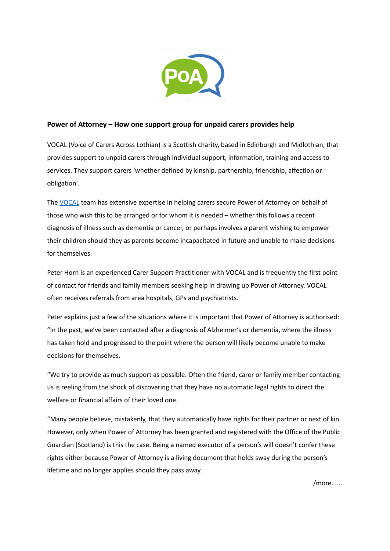

## **Power of Attorney – How one support group for unpaid carers provides help**

VOCAL (Voice of Carers Across Lothian) is a Scottish charity, based in Edinburgh and Midlothian, that provides support to unpaid carers through individual support, information, training and access to services. They support carers 'whether defined by kinship, partnership, friendship, affection or obligation'.

The [VOCAL](https://www.vocal.org.uk/) team has extensive expertise in helping carers secure Power of Attorney on behalf of those who wish this to be arranged or for whom it is needed – whether this follows a recent diagnosis of illness such as dementia or cancer, or perhaps involves a parent wishing to empower their children should they as parents become incapacitated in future and unable to make decisions for themselves.

Peter Horn is an experienced Carer Support Practitioner with VOCAL and is frequently the first point of contact for friends and family members seeking help in drawing up Power of Attorney. VOCAL often receives referrals from area hospitals, GPs and psychiatrists.

Peter explains just a few of the situations where it is important that Power of Attorney is authorised: "In the past, we've been contacted after a diagnosis of Alzheimer's or dementia, where the illness has taken hold and progressed to the point where the person will likely become unable to make decisions for themselves.

"We try to provide as much support as possible. Often the friend, carer or family member contacting us is reeling from the shock of discovering that they have no automatic legal rights to direct the welfare or financial affairs of their loved one.

"Many people believe, mistakenly, that they automatically have rights for their partner or next of kin. However, only when Power of Attorney has been granted and registered with the Office of the Public Guardian (Scotland) is this the case. Being a named executor of a person's will doesn't confer these rights either because Power of Attorney is a living document that holds sway during the person's lifetime and no longer applies should they pass away.

/more…..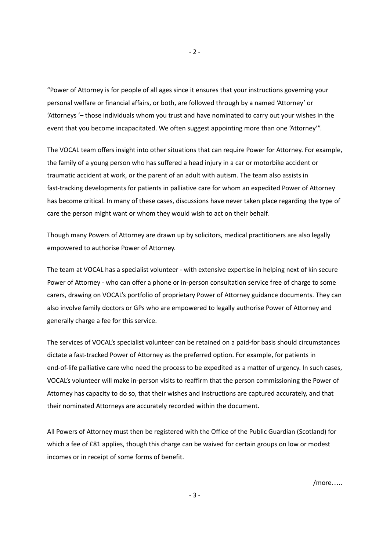"Power of Attorney is for people of all ages since it ensures that your instructions governing your personal welfare or financial affairs, or both, are followed through by a named 'Attorney' or 'Attorneys '– those individuals whom you trust and have nominated to carry out your wishes in the event that you become incapacitated. We often suggest appointing more than one 'Attorney'".

The VOCAL team offers insight into other situations that can require Power for Attorney. For example, the family of a young person who has suffered a head injury in a car or motorbike accident or traumatic accident at work, or the parent of an adult with autism. The team also assists in fast-tracking developments for patients in palliative care for whom an expedited Power of Attorney has become critical. In many of these cases, discussions have never taken place regarding the type of care the person might want or whom they would wish to act on their behalf.

Though many Powers of Attorney are drawn up by solicitors, medical practitioners are also legally empowered to authorise Power of Attorney.

The team at VOCAL has a specialist volunteer - with extensive expertise in helping next of kin secure Power of Attorney - who can offer a phone or in-person consultation service free of charge to some carers, drawing on VOCAL's portfolio of proprietary Power of Attorney guidance documents. They can also involve family doctors or GPs who are empowered to legally authorise Power of Attorney and generally charge a fee for this service.

The services of VOCAL's specialist volunteer can be retained on a paid-for basis should circumstances dictate a fast-tracked Power of Attorney as the preferred option. For example, for patients in end-of-life palliative care who need the process to be expedited as a matter of urgency. In such cases, VOCAL's volunteer will make in-person visits to reaffirm that the person commissioning the Power of Attorney has capacity to do so, that their wishes and instructions are captured accurately, and that their nominated Attorneys are accurately recorded within the document.

All Powers of Attorney must then be registered with the Office of the Public Guardian (Scotland) for which a fee of £81 applies, though this charge can be waived for certain groups on low or modest incomes or in receipt of some forms of benefit.

- 3 -

/more…..